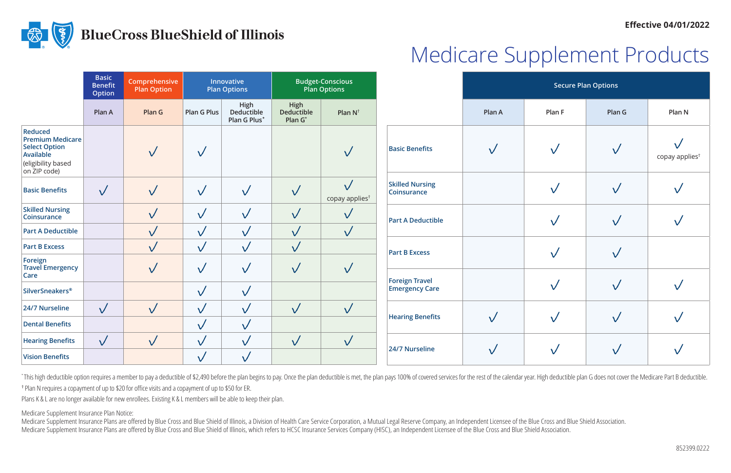#### **Effective 04/01/2022**



# Medicare Supplement Products

|                                                                                                               | <b>Basic</b><br><b>Benefit</b><br><b>Option</b> | Comprehensive<br><b>Plan Option</b> | Innovative<br><b>Plan Options</b> |                                    | <b>Budget-Conscious</b><br><b>Plan Options</b> |                                         |                                                | <b>Secure Plan Options</b> |        |              |                            |
|---------------------------------------------------------------------------------------------------------------|-------------------------------------------------|-------------------------------------|-----------------------------------|------------------------------------|------------------------------------------------|-----------------------------------------|------------------------------------------------|----------------------------|--------|--------------|----------------------------|
|                                                                                                               | Plan A                                          | Plan G                              | <b>Plan G Plus</b>                | High<br>Deductible<br>Plan G Plus* | High<br><b>Deductible</b><br>Plan G*           | Plan $N^{\dagger}$                      |                                                | Plan A                     | Plan F | Plan G       | Plan N                     |
| Reduced<br><b>Premium Medicare</b><br><b>Select Option</b><br>Available<br>(eligibility based<br>on ZIP code) |                                                 | $\checkmark$                        | $\sqrt{}$                         |                                    |                                                | $\sqrt{}$                               | <b>Basic Benefits</b>                          | $\sqrt{}$                  |        | $\checkmark$ | copay applies <sup>†</sup> |
| <b>Basic Benefits</b>                                                                                         | $\sqrt{}$                                       | $\sqrt{}$                           | $\sqrt{}$                         | $\sqrt{}$                          | $\sqrt{}$                                      | $\sqrt{}$<br>copay applies <sup>†</sup> | <b>Skilled Nursing</b><br><b>Coinsurance</b>   |                            |        | $\sqrt{}$    |                            |
| <b>Skilled Nursing</b><br>Coinsurance                                                                         |                                                 | $\sqrt{}$                           | $\sqrt{}$                         | $\sqrt{}$                          | $\sqrt{}$                                      | $\sqrt{}$                               | <b>Part A Deductible</b>                       |                            |        | $\sqrt{}$    |                            |
| <b>Part A Deductible</b>                                                                                      |                                                 | $\sqrt{}$                           | $\sqrt{}$                         | $\sqrt{}$                          | $\sqrt{}$                                      | $\sqrt{}$                               |                                                |                            |        |              |                            |
| <b>Part B Excess</b>                                                                                          |                                                 | $\sqrt{}$                           | $\sqrt{}$                         | $\sqrt{}$                          | $\sqrt{}$                                      |                                         | <b>Part B Excess</b>                           |                            |        | $\sqrt{}$    |                            |
| Foreign<br><b>Travel Emergency</b><br>Care                                                                    |                                                 | $\sqrt{}$                           | $\sqrt{}$                         | $\sqrt{}$                          | $\sqrt{}$                                      | $\sqrt{}$                               |                                                |                            |        |              |                            |
| <b>SilverSneakers<sup>®</sup></b>                                                                             |                                                 |                                     | $\sqrt{}$                         | $\sqrt{}$                          |                                                |                                         | <b>Foreign Travel</b><br><b>Emergency Care</b> |                            |        | $\sqrt{}$    |                            |
| 24/7 Nurseline                                                                                                | $\sqrt{}$                                       | $\sqrt{}$                           | $\sqrt{}$                         | $\sqrt{}$                          | $\sqrt{}$                                      | $\sqrt{}$                               | <b>Hearing Benefits</b>                        | $\sqrt{}$                  |        | $\sqrt{}$    |                            |
| <b>Dental Benefits</b>                                                                                        |                                                 |                                     | $\sqrt{}$                         | $\sqrt{}$                          |                                                |                                         |                                                |                            |        |              |                            |
| <b>Hearing Benefits</b>                                                                                       | $\sqrt{}$                                       | $\sqrt{}$                           | $\sqrt{}$                         | $\sqrt{}$                          | $\sqrt{}$                                      | $\sqrt{}$                               | 24/7 Nurseline                                 |                            |        |              |                            |
| <b>Vision Benefits</b>                                                                                        |                                                 |                                     | $\sqrt{}$                         | $\sqrt{}$                          |                                                |                                         |                                                | $\checkmark$               |        | $\checkmark$ |                            |

\*This high deductible option requires a member to pay a deductible of \$2,490 before the plan begins to pay. Once the plan deductible is met, the plan pays 100% of covered services for the rest of the calendar year. High de

<sup>†</sup> Plan N requires a copayment of up to \$20 for office visits and a copayment of up to \$50 for ER.

Plans K & L are no longer available for new enrollees. Existing K & L members will be able to keep their plan.

#### Medicare Supplement Insurance Plan Notice:

Medicare Supplement Insurance Plans are offered by Blue Cross and Blue Shield of Illinois, a Division of Health Care Service Corporation, a Mutual Legal Reserve Company, an Independent Licensee of the Blue Cross and Blue S Medicare Supplement Insurance Plans are offered by Blue Cross and Blue Shield of Illinois, which refers to HCSC Insurance Services Company (HISC), an Independent Licensee of the Blue Cross and Blue Shield Association.